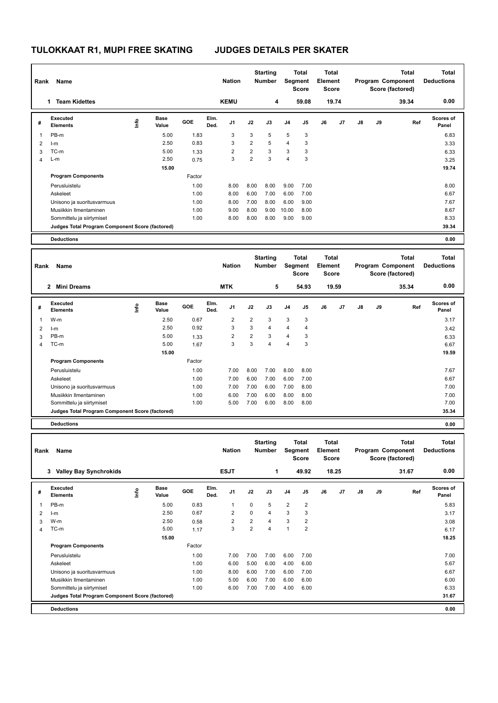| Rank           | Name                                            |      |               |              |              | <b>Nation</b>           |                | <b>Starting</b><br>Number |                         | Total<br>Segment<br><b>Score</b>        | <b>Total</b><br><b>Element</b><br>Score        |       |    |    | <b>Total</b><br>Program Component<br>Score (factored) | <b>Total</b><br><b>Deductions</b> |
|----------------|-------------------------------------------------|------|---------------|--------------|--------------|-------------------------|----------------|---------------------------|-------------------------|-----------------------------------------|------------------------------------------------|-------|----|----|-------------------------------------------------------|-----------------------------------|
|                | 1 Team Kidettes                                 |      |               |              |              | <b>KEMU</b>             |                | 4                         |                         | 59.08                                   |                                                | 19.74 |    |    | 39.34                                                 | 0.00                              |
| #              | <b>Executed</b><br><b>Elements</b>              | lnfo | Base<br>Value | GOE          | Elm.<br>Ded. | J1                      | J2             | J3                        | J <sub>4</sub>          | J5                                      | J6                                             | J7    | J8 | J9 | Ref                                                   | Scores of<br>Panel                |
| 1              | PB-m                                            |      | 5.00          | 1.83         |              | 3                       | 3              | 5                         | 5                       | 3                                       |                                                |       |    |    |                                                       | 6.83                              |
| 2              | $l-m$                                           |      | 2.50          | 0.83         |              | 3                       | $\overline{2}$ | 5                         | 4                       | 3                                       |                                                |       |    |    |                                                       | 3.33                              |
| 3              | TC-m                                            |      | 5.00          | 1.33         |              | $\overline{\mathbf{c}}$ | $\overline{c}$ | 3                         | 3                       | $\mathsf 3$                             |                                                |       |    |    |                                                       | 6.33                              |
| 4              | L-m                                             |      | 2.50          | 0.75         |              | 3                       | $\overline{c}$ | 3                         | 4                       | 3                                       |                                                |       |    |    |                                                       | 3.25                              |
|                |                                                 |      | 15.00         |              |              |                         |                |                           |                         |                                         |                                                |       |    |    |                                                       | 19.74                             |
|                | <b>Program Components</b>                       |      |               | Factor       |              |                         |                |                           |                         |                                         |                                                |       |    |    |                                                       |                                   |
|                | Perusluistelu                                   |      |               | 1.00         |              | 8.00                    | 8.00           | 8.00                      | 9.00                    | 7.00                                    |                                                |       |    |    |                                                       | 8.00                              |
|                | Askeleet                                        |      |               | 1.00         |              | 8.00                    | 6.00           | 7.00                      | 6.00                    | 7.00                                    |                                                |       |    |    |                                                       | 6.67                              |
|                | Unisono ja suoritusvarmuus                      |      |               | 1.00         |              | 8.00                    | 7.00           | 8.00                      | 6.00                    | 9.00                                    |                                                |       |    |    |                                                       | 7.67                              |
|                | Musiikkin Ilmentaminen                          |      |               | 1.00         |              | 9.00                    | 8.00           | 9.00                      | 10.00                   | 8.00                                    |                                                |       |    |    |                                                       | 8.67                              |
|                | Sommittelu ja siirtymiset                       |      |               | 1.00         |              | 8.00                    | 8.00           | 8.00                      | 9.00                    | 9.00                                    |                                                |       |    |    |                                                       | 8.33                              |
|                | Judges Total Program Component Score (factored) |      |               |              |              |                         |                |                           |                         |                                         |                                                |       |    |    |                                                       | 39.34                             |
|                | <b>Deductions</b>                               |      |               |              |              |                         |                |                           |                         |                                         |                                                |       |    |    |                                                       | 0.00                              |
|                |                                                 |      |               |              |              |                         |                |                           |                         |                                         |                                                |       |    |    |                                                       |                                   |
| Rank           | Name                                            |      |               |              |              | <b>Nation</b>           |                | <b>Starting</b><br>Number |                         | <b>Total</b><br>Segment<br><b>Score</b> | <b>Total</b><br><b>Element</b><br><b>Score</b> |       |    |    | <b>Total</b><br>Program Component<br>Score (factored) | <b>Total</b><br><b>Deductions</b> |
|                | 2 Mini Dreams                                   |      |               |              |              | <b>MTK</b>              |                | 5                         |                         | 54.93                                   |                                                | 19.59 |    |    | 35.34                                                 | 0.00                              |
| #              | <b>Executed</b><br>Elements                     | ١nf٥ | Base<br>Value | GOE          | Elm.<br>Ded. | J1                      | J2             | J3                        | J <sub>4</sub>          | J5                                      | J6                                             | J7    | J8 | J9 | Ref                                                   | <b>Scores of</b><br>Panel         |
|                | W-m                                             |      | 2.50          | 0.67         |              | $\overline{2}$          | $\overline{2}$ | 3                         | 3                       | 3                                       |                                                |       |    |    |                                                       | 3.17                              |
| 1              |                                                 |      | 2.50          | 0.92         |              | 3                       | 3              | $\overline{4}$            | 4                       | $\overline{4}$                          |                                                |       |    |    |                                                       |                                   |
| 2<br>3         | $l-m$<br>PB-m                                   |      | 5.00          |              |              | $\overline{2}$          | $\overline{2}$ | 3                         | 4                       | 3                                       |                                                |       |    |    |                                                       | 3.42<br>6.33                      |
| 4              | TC-m                                            |      | 5.00          | 1.33<br>1.67 |              | 3                       | 3              | 4                         | 4                       | 3                                       |                                                |       |    |    |                                                       | 6.67                              |
|                |                                                 |      | 15.00         |              |              |                         |                |                           |                         |                                         |                                                |       |    |    |                                                       | 19.59                             |
|                | <b>Program Components</b>                       |      |               | Factor       |              |                         |                |                           |                         |                                         |                                                |       |    |    |                                                       |                                   |
|                | Perusluistelu                                   |      |               | 1.00         |              | 7.00                    | 8.00           | 7.00                      | 8.00                    | 8.00                                    |                                                |       |    |    |                                                       | 7.67                              |
|                | Askeleet                                        |      |               | 1.00         |              | 7.00                    | 6.00           | 7.00                      | 6.00                    | 7.00                                    |                                                |       |    |    |                                                       | 6.67                              |
|                | Unisono ja suoritusvarmuus                      |      |               | 1.00         |              | 7.00                    | 7.00           | 6.00                      | 7.00                    | 8.00                                    |                                                |       |    |    |                                                       | 7.00                              |
|                | Musiikkin Ilmentaminen                          |      |               | 1.00         |              | 6.00                    | 7.00           | 6.00                      | 8.00                    | 8.00                                    |                                                |       |    |    |                                                       | 7.00                              |
|                | Sommittelu ja siirtymiset                       |      |               | 1.00         |              | 5.00                    | 7.00           | 6.00                      | 8.00                    | 8.00                                    |                                                |       |    |    |                                                       | 7.00                              |
|                | Judges Total Program Component Score (factored) |      |               |              |              |                         |                |                           |                         |                                         |                                                |       |    |    |                                                       | 35.34                             |
|                | <b>Deductions</b>                               |      |               |              |              |                         |                |                           |                         |                                         |                                                |       |    |    |                                                       | 0.00                              |
|                |                                                 |      |               |              |              |                         |                |                           |                         |                                         |                                                |       |    |    |                                                       |                                   |
| Rank           | Name                                            |      |               |              |              | <b>Nation</b>           |                | <b>Starting</b><br>Number |                         | Total<br>Segment<br>Score               | <b>Total</b><br>Element<br><b>Score</b>        |       |    |    | <b>Total</b><br>Program Component<br>Score (factored) | <b>Total</b><br><b>Deductions</b> |
|                | 3 Valley Bay Synchrokids                        |      |               |              |              | <b>ESJT</b>             |                | 1                         |                         | 49.92                                   |                                                | 18.25 |    |    | 31.67                                                 | 0.00                              |
| #              | <b>Executed</b><br><b>Elements</b>              | lnfo | Base<br>Value | GOE          | Elm.<br>Ded. | J1                      | J2             | J3                        | J4                      | J5                                      | J6                                             | J7    | J8 | J9 | Ref                                                   | Scores of<br>Panel                |
| 1              | PB-m                                            |      | 5.00          | 0.83         |              | 1                       | 0              | 5                         | $\overline{\mathbf{c}}$ | $\overline{\mathbf{c}}$                 |                                                |       |    |    |                                                       | 5.83                              |
| $\overline{2}$ | $l-m$                                           |      | 2.50          | 0.67         |              | $\overline{\mathbf{c}}$ | 0              | 4                         | 3                       | 3                                       |                                                |       |    |    |                                                       | 3.17                              |
| 3              | W-m                                             |      | 2.50          | 0.58         |              | $\overline{2}$          | $\overline{2}$ | 4                         | 3                       | $\sqrt{2}$                              |                                                |       |    |    |                                                       | 3.08                              |
| 4              | TC-m                                            |      | 5.00          | 1.17         |              | 3                       | $\overline{2}$ | 4                         | $\mathbf{1}$            | $\sqrt{2}$                              |                                                |       |    |    |                                                       | 6.17                              |
|                |                                                 |      | 15.00         |              |              |                         |                |                           |                         |                                         |                                                |       |    |    |                                                       | 18.25                             |
|                | <b>Program Components</b>                       |      |               | Factor       |              |                         |                |                           |                         |                                         |                                                |       |    |    |                                                       |                                   |
|                | Perusluistelu                                   |      |               | 1.00         |              | 7.00                    | 7.00           | 7.00                      | 6.00                    | 7.00                                    |                                                |       |    |    |                                                       | 7.00                              |
|                | Askeleet                                        |      |               | 1.00         |              | 6.00                    | 5.00           | 6.00                      | 4.00                    | 6.00                                    |                                                |       |    |    |                                                       | 5.67                              |
|                | Unisono ja suoritusvarmuus                      |      |               | 1.00         |              | 8.00                    | 6.00           | 7.00                      | 6.00                    | 7.00                                    |                                                |       |    |    |                                                       | 6.67                              |
|                | Musiikkin Ilmentaminen                          |      |               | 1.00         |              | 5.00                    | 6.00           | 7.00                      | 6.00                    | 6.00                                    |                                                |       |    |    |                                                       | 6.00                              |
|                | Sommittelu ja siirtymiset                       |      |               | 1.00         |              | 6.00                    | 7.00           | 7.00                      | 4.00                    | 6.00                                    |                                                |       |    |    |                                                       | 6.33                              |
|                | Judges Total Program Component Score (factored) |      |               |              |              |                         |                |                           |                         |                                         |                                                |       |    |    |                                                       | 31.67                             |
|                | <b>Deductions</b>                               |      |               |              |              |                         |                |                           |                         |                                         |                                                |       |    |    |                                                       | 0.00                              |
|                |                                                 |      |               |              |              |                         |                |                           |                         |                                         |                                                |       |    |    |                                                       |                                   |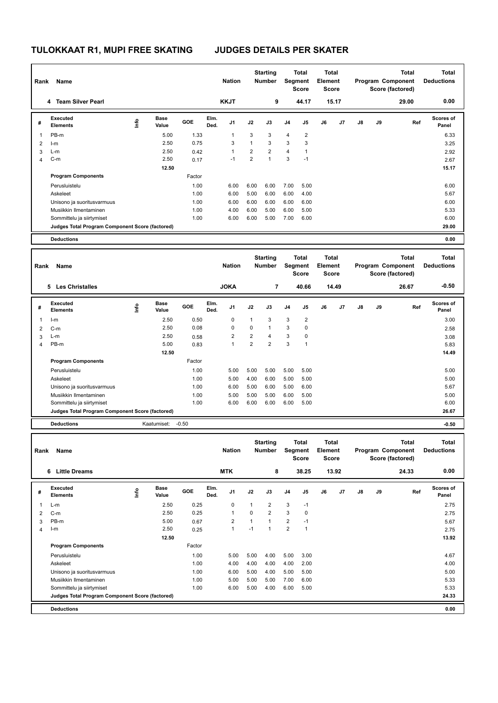| Rank           | Name                                            |      |                      |         |              | <b>Nation</b>  |                | <b>Starting</b><br><b>Number</b> |                | <b>Total</b><br>Segment<br><b>Score</b> | <b>Total</b><br><b>Element</b><br>Score |       |    |    | <b>Total</b><br>Program Component<br>Score (factored) | <b>Total</b><br><b>Deductions</b> |
|----------------|-------------------------------------------------|------|----------------------|---------|--------------|----------------|----------------|----------------------------------|----------------|-----------------------------------------|-----------------------------------------|-------|----|----|-------------------------------------------------------|-----------------------------------|
|                | 4 Team Silver Pearl                             |      |                      |         |              | <b>KKJT</b>    |                | 9                                |                | 44.17                                   |                                         | 15.17 |    |    | 29.00                                                 | 0.00                              |
| #              | <b>Executed</b><br><b>Elements</b>              | lnfo | Base<br>Value        | GOE     | Elm.<br>Ded. | J1             | J2             | J3                               | J <sub>4</sub> | J5                                      | J6                                      | J7    | J8 | J9 | Ref                                                   | Scores of<br>Panel                |
| 1              | PB-m                                            |      | 5.00                 | 1.33    |              | $\mathbf{1}$   | 3              | 3                                | $\overline{4}$ | $\overline{2}$                          |                                         |       |    |    |                                                       | 6.33                              |
| 2              | $l-m$                                           |      | 2.50                 | 0.75    |              | 3              | $\mathbf{1}$   | 3                                | 3              | 3                                       |                                         |       |    |    |                                                       | 3.25                              |
| 3              | L-m                                             |      | 2.50                 | 0.42    |              | $\mathbf{1}$   | $\overline{2}$ | $\overline{2}$                   | $\overline{4}$ | $\mathbf{1}$                            |                                         |       |    |    |                                                       | 2.92                              |
| 4              | $C-m$                                           |      | 2.50                 | 0.17    |              | $-1$           | $\overline{2}$ | $\mathbf{1}$                     | 3              | $-1$                                    |                                         |       |    |    |                                                       | 2.67                              |
|                |                                                 |      | 12.50                |         |              |                |                |                                  |                |                                         |                                         |       |    |    |                                                       | 15.17                             |
|                | <b>Program Components</b>                       |      |                      | Factor  |              |                |                |                                  |                |                                         |                                         |       |    |    |                                                       |                                   |
|                | Perusluistelu                                   |      |                      | 1.00    |              | 6.00           | 6.00           | 6.00                             | 7.00           | 5.00                                    |                                         |       |    |    |                                                       | 6.00                              |
|                | Askeleet                                        |      |                      | 1.00    |              | 6.00           | 5.00           | 6.00                             | 6.00           | 4.00                                    |                                         |       |    |    |                                                       | 5.67                              |
|                | Unisono ja suoritusvarmuus                      |      |                      | 1.00    |              | 6.00           | 6.00           | 6.00                             | 6.00           | 6.00                                    |                                         |       |    |    |                                                       | 6.00                              |
|                | Musiikkin Ilmentaminen                          |      |                      | 1.00    |              | 4.00           | 6.00           | 5.00                             | 6.00           | 5.00                                    |                                         |       |    |    |                                                       | 5.33                              |
|                | Sommittelu ja siirtymiset                       |      |                      | 1.00    |              | 6.00           | 6.00           | 5.00                             | 7.00           | 6.00                                    |                                         |       |    |    |                                                       | 6.00                              |
|                | Judges Total Program Component Score (factored) |      |                      |         |              |                |                |                                  |                |                                         |                                         |       |    |    |                                                       | 29.00                             |
|                | <b>Deductions</b>                               |      |                      |         |              |                |                |                                  |                |                                         |                                         |       |    |    |                                                       | 0.00                              |
|                |                                                 |      |                      |         |              |                |                |                                  |                |                                         |                                         |       |    |    |                                                       |                                   |
| Rank           | Name                                            |      |                      |         |              | <b>Nation</b>  |                | <b>Starting</b><br><b>Number</b> |                | <b>Total</b><br>Segment                 | <b>Total</b><br><b>Element</b>          |       |    |    | <b>Total</b><br>Program Component                     | <b>Total</b><br><b>Deductions</b> |
|                |                                                 |      |                      |         |              |                |                |                                  |                | <b>Score</b>                            | Score                                   |       |    |    | Score (factored)                                      |                                   |
|                | 5 Les Christalles                               |      |                      |         |              | <b>JOKA</b>    |                | 7                                |                | 40.66                                   |                                         | 14.49 |    |    | 26.67                                                 | $-0.50$                           |
| #              | <b>Executed</b><br><b>Elements</b>              | Info | <b>Base</b><br>Value | GOE     | Elm.<br>Ded. | J1             | J2             | J3                               | J4             | J5                                      | J6                                      | J7    | J8 | J9 | Ref                                                   | <b>Scores of</b><br>Panel         |
| 1              | $l-m$                                           |      | 2.50                 | 0.50    |              | 0              | $\mathbf{1}$   | 3                                | 3              | $\overline{2}$                          |                                         |       |    |    |                                                       | 3.00                              |
| 2              | $C-m$                                           |      | 2.50                 | 0.08    |              | 0              | $\pmb{0}$      | $\mathbf{1}$                     | 3              | $\mathbf 0$                             |                                         |       |    |    |                                                       | 2.58                              |
| 3              | L-m                                             |      | 2.50                 | 0.58    |              | 2              | $\overline{2}$ | 4                                | 3              | 0                                       |                                         |       |    |    |                                                       | 3.08                              |
| $\overline{4}$ | PB-m                                            |      | 5.00                 | 0.83    |              | 1              | $\overline{2}$ | 2                                | 3              | $\mathbf{1}$                            |                                         |       |    |    |                                                       | 5.83                              |
|                |                                                 |      | 12.50                |         |              |                |                |                                  |                |                                         |                                         |       |    |    |                                                       | 14.49                             |
|                | <b>Program Components</b>                       |      |                      | Factor  |              |                |                |                                  |                |                                         |                                         |       |    |    |                                                       |                                   |
|                | Perusluistelu                                   |      |                      | 1.00    |              | 5.00           | 5.00           | 5.00                             | 5.00           | 5.00                                    |                                         |       |    |    |                                                       | 5.00                              |
|                | Askeleet                                        |      |                      | 1.00    |              | 5.00           | 4.00           | 6.00                             | 5.00           | 5.00                                    |                                         |       |    |    |                                                       | 5.00                              |
|                | Unisono ja suoritusvarmuus                      |      |                      | 1.00    |              | 6.00           | 5.00           | 6.00                             | 5.00           | 6.00                                    |                                         |       |    |    |                                                       | 5.67                              |
|                | Musiikkin Ilmentaminen                          |      |                      | 1.00    |              | 5.00           | 5.00           | 5.00                             | 6.00           | 5.00                                    |                                         |       |    |    |                                                       | 5.00                              |
|                | Sommittelu ja siirtymiset                       |      |                      | 1.00    |              | 6.00           | 6.00           | 6.00                             | 6.00           | 5.00                                    |                                         |       |    |    |                                                       | 6.00                              |
|                | Judges Total Program Component Score (factored) |      |                      |         |              |                |                |                                  |                |                                         |                                         |       |    |    |                                                       | 26.67                             |
|                | <b>Deductions</b>                               |      | Kaatumiset:          | $-0.50$ |              |                |                |                                  |                |                                         |                                         |       |    |    |                                                       | $-0.50$                           |
|                |                                                 |      |                      |         |              |                |                |                                  |                |                                         |                                         |       |    |    |                                                       |                                   |
|                | Rank Name                                       |      |                      |         |              | <b>Nation</b>  |                | <b>Starting</b><br>Number        |                | Total<br>Segment<br>Score               | <b>Total</b><br>Element<br><b>Score</b> |       |    |    | Total<br>Program Component<br>Score (factored)        | <b>Total</b><br><b>Deductions</b> |
|                | 6 Little Dreams                                 |      |                      |         |              | <b>MTK</b>     |                | 8                                |                | 38.25                                   |                                         | 13.92 |    |    | 24.33                                                 | 0.00                              |
| #              | Executed                                        | Life | Base<br>Value        | GOE     | Elm.<br>Ded. | J1             | J2             | J3                               | J4             | J5                                      | J6                                      | J7    | J8 | J9 | Ref                                                   | Scores of                         |
|                | <b>Elements</b>                                 |      |                      |         |              |                |                |                                  |                |                                         |                                         |       |    |    |                                                       | Panel                             |
| 1              | L-m                                             |      | 2.50                 | 0.25    |              | 0              | $\mathbf{1}$   | 2                                | 3              | $-1$                                    |                                         |       |    |    |                                                       | 2.75                              |
| $\overline{2}$ | $C-m$                                           |      | 2.50                 | 0.25    |              | 1              | 0              | 2                                | 3              | $\mathbf 0$                             |                                         |       |    |    |                                                       | 2.75                              |
| 3              | PB-m                                            |      | 5.00                 | 0.67    |              | $\overline{2}$ | $\mathbf{1}$   | 1                                | $\overline{2}$ | $-1$                                    |                                         |       |    |    |                                                       | 5.67                              |
| $\overline{4}$ | $l-m$                                           |      | 2.50                 | 0.25    |              | $\mathbf{1}$   | $-1$           | $\mathbf{1}$                     | $\overline{2}$ | $\mathbf{1}$                            |                                         |       |    |    |                                                       | 2.75                              |
|                |                                                 |      | 12.50                |         |              |                |                |                                  |                |                                         |                                         |       |    |    |                                                       | 13.92                             |
|                | <b>Program Components</b>                       |      |                      | Factor  |              |                |                |                                  |                |                                         |                                         |       |    |    |                                                       |                                   |
|                | Perusluistelu                                   |      |                      | 1.00    |              | 5.00           | 5.00           | 4.00                             | 5.00           | 3.00                                    |                                         |       |    |    |                                                       | 4.67                              |
|                | Askeleet                                        |      |                      | 1.00    |              | 4.00           | 4.00           | 4.00                             | 4.00           | 2.00                                    |                                         |       |    |    |                                                       | 4.00                              |
|                | Unisono ja suoritusvarmuus                      |      |                      | 1.00    |              | 6.00           | 5.00           | 4.00                             | 5.00           | 5.00                                    |                                         |       |    |    |                                                       | 5.00                              |
|                | Musiikkin Ilmentaminen                          |      |                      | 1.00    |              | 5.00           | 5.00           | 5.00                             | 7.00           | 6.00                                    |                                         |       |    |    |                                                       | 5.33                              |
|                | Sommittelu ja siirtymiset                       |      |                      | 1.00    |              | 6.00           | 5.00           | 4.00                             | 6.00           | 5.00                                    |                                         |       |    |    |                                                       | 5.33                              |
|                | Judges Total Program Component Score (factored) |      |                      |         |              |                |                |                                  |                |                                         |                                         |       |    |    |                                                       | 24.33                             |
|                | <b>Deductions</b>                               |      |                      |         |              |                |                |                                  |                |                                         |                                         |       |    |    |                                                       | 0.00                              |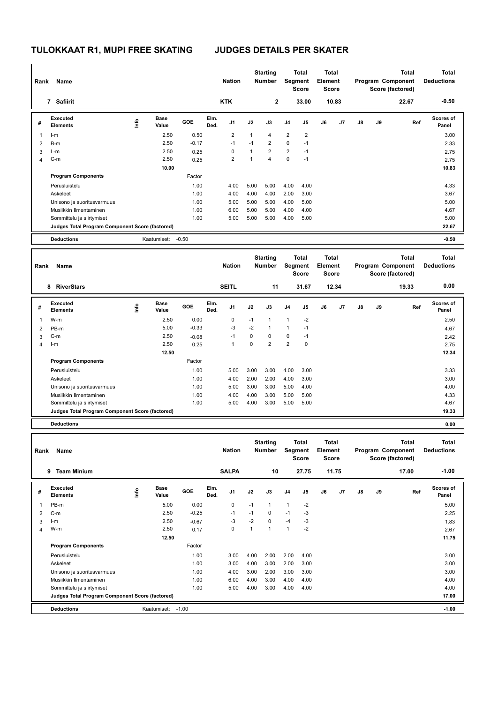| Rank           | Name                                                                 |      |                      |         |              | <b>Nation</b>  |              | <b>Starting</b><br><b>Number</b> |                | Total<br>Segment<br><b>Score</b> | <b>Total</b><br>Element<br><b>Score</b> |       |    |    | <b>Total</b><br>Program Component<br>Score (factored) | <b>Total</b><br><b>Deductions</b> |  |
|----------------|----------------------------------------------------------------------|------|----------------------|---------|--------------|----------------|--------------|----------------------------------|----------------|----------------------------------|-----------------------------------------|-------|----|----|-------------------------------------------------------|-----------------------------------|--|
|                | 7 Safiirit                                                           |      |                      |         |              | <b>KTK</b>     |              | $\mathbf 2$                      |                | 33.00                            |                                         | 10.83 |    |    | 22.67                                                 | $-0.50$                           |  |
| #              | <b>Executed</b><br><b>Elements</b>                                   | ١mfo | <b>Base</b><br>Value | GOE     | Elm.<br>Ded. | J1             | J2           | J3                               | J <sub>4</sub> | J5                               | J6                                      | J7    | J8 | J9 | Ref                                                   | <b>Scores of</b><br>Panel         |  |
| 1              | $l-m$                                                                |      | 2.50                 | 0.50    |              | $\overline{2}$ | $\mathbf{1}$ | 4                                | $\overline{2}$ | $\overline{2}$                   |                                         |       |    |    |                                                       | 3.00                              |  |
| $\overline{2}$ | B-m                                                                  |      | 2.50                 | $-0.17$ |              | $-1$           | $-1$         | 2                                | $\mathbf 0$    | $-1$                             |                                         |       |    |    |                                                       | 2.33                              |  |
| 3              | $L-m$                                                                |      | 2.50                 | 0.25    |              | $\mathbf 0$    | $\mathbf{1}$ | $\overline{2}$                   | $\overline{2}$ | $-1$                             |                                         |       |    |    |                                                       | 2.75                              |  |
| 4              | $C-m$                                                                |      | 2.50                 | 0.25    |              | $\overline{2}$ | $\mathbf{1}$ | 4                                | $\mathbf 0$    | $-1$                             |                                         |       |    |    |                                                       | 2.75                              |  |
|                |                                                                      |      | 10.00                |         |              |                |              |                                  |                |                                  |                                         |       |    |    |                                                       | 10.83                             |  |
|                | <b>Program Components</b>                                            |      |                      | Factor  |              |                |              |                                  |                |                                  |                                         |       |    |    |                                                       |                                   |  |
|                | Perusluistelu                                                        |      |                      | 1.00    |              | 4.00           | 5.00         | 5.00                             | 4.00           | 4.00                             |                                         |       |    |    |                                                       | 4.33                              |  |
|                | Askeleet                                                             |      |                      | 1.00    |              | 4.00           | 4.00         | 4.00                             | 2.00           | 3.00                             |                                         |       |    |    |                                                       | 3.67                              |  |
|                | Unisono ja suoritusvarmuus                                           |      |                      | 1.00    |              | 5.00           | 5.00         | 5.00                             | 4.00           | 5.00                             |                                         |       |    |    |                                                       | 5.00                              |  |
|                | Musiikkin Ilmentaminen                                               |      |                      | 1.00    |              | 6.00           | 5.00         | 5.00                             | 4.00           | 4.00                             |                                         |       |    |    |                                                       | 4.67                              |  |
|                | Sommittelu ja siirtymiset                                            |      |                      | 1.00    |              | 5.00           | 5.00         | 5.00                             | 4.00           | 5.00                             |                                         |       |    |    |                                                       | 5.00                              |  |
|                | Judges Total Program Component Score (factored)<br><b>Deductions</b> |      | Kaatumiset:          | $-0.50$ |              |                |              |                                  |                |                                  |                                         |       |    |    |                                                       | 22.67<br>$-0.50$                  |  |
|                |                                                                      |      |                      |         |              |                |              |                                  |                |                                  |                                         |       |    |    |                                                       |                                   |  |
|                |                                                                      |      |                      |         |              |                |              | <b>Starting</b>                  |                | Total                            | <b>Total</b>                            |       |    |    | <b>Total</b>                                          | <b>Total</b>                      |  |
| Rank           | Name                                                                 |      |                      |         |              | <b>Nation</b>  |              | <b>Number</b>                    |                | Segment<br><b>Score</b>          | <b>Element</b><br><b>Score</b>          |       |    |    | Program Component<br>Score (factored)                 | <b>Deductions</b>                 |  |
|                | 8 RiverStars                                                         |      |                      |         |              | <b>SEITL</b>   |              | 11                               |                | 31.67                            |                                         | 12.34 |    |    | 19.33                                                 | 0.00                              |  |
|                | <b>Executed</b>                                                      |      | Base                 |         | Elm.         |                |              |                                  |                |                                  |                                         |       |    |    |                                                       | Scores of                         |  |
| #              | <b>Elements</b>                                                      | ١nf٥ | Value                | GOE     | Ded.         | J1             | J2           | J3                               | J <sub>4</sub> | J5                               | J6                                      | J7    | J8 | J9 | Ref                                                   | Panel                             |  |
| 1              | W-m                                                                  |      | 2.50                 | 0.00    |              | 0              | $-1$         | $\mathbf{1}$                     | $\mathbf{1}$   | -2                               |                                         |       |    |    |                                                       | 2.50                              |  |
| $\overline{2}$ | PB-m                                                                 |      | 5.00                 | $-0.33$ |              | -3             | $-2$         | $\mathbf{1}$                     | $\mathbf{1}$   | $-1$                             |                                         |       |    |    |                                                       | 4.67                              |  |
| 3              | $C-m$                                                                |      | 2.50                 | $-0.08$ |              | $-1$           | 0            | 0                                | 0              | $-1$                             |                                         |       |    |    |                                                       | 2.42                              |  |
| 4              | $l-m$                                                                |      | 2.50                 | 0.25    |              | $\mathbf{1}$   | 0            | $\overline{2}$                   | 2              | $\mathbf 0$                      |                                         |       |    |    |                                                       | 2.75                              |  |
|                |                                                                      |      | 12.50                |         |              |                |              |                                  |                |                                  |                                         |       |    |    |                                                       | 12.34                             |  |
|                | <b>Program Components</b>                                            |      |                      | Factor  |              |                |              |                                  |                |                                  |                                         |       |    |    |                                                       |                                   |  |
|                | Perusluistelu                                                        |      |                      | 1.00    |              | 5.00           | 3.00         | 3.00                             | 4.00           | 3.00                             |                                         |       |    |    |                                                       | 3.33                              |  |
|                | Askeleet                                                             |      |                      | 1.00    |              | 4.00           | 2.00         | 2.00                             | 4.00           | 3.00                             |                                         |       |    |    |                                                       | 3.00                              |  |
|                | Unisono ja suoritusvarmuus                                           |      |                      | 1.00    |              | 5.00           | 3.00         | 3.00                             | 5.00           | 4.00                             |                                         |       |    |    |                                                       | 4.00                              |  |
|                | Musiikkin Ilmentaminen                                               |      |                      | 1.00    |              | 4.00           | 4.00         | 3.00                             | 5.00           | 5.00                             |                                         |       |    |    |                                                       | 4.33                              |  |
|                | Sommittelu ja siirtymiset                                            |      |                      | 1.00    |              | 5.00           | 4.00         | 3.00                             | 5.00           | 5.00                             |                                         |       |    |    |                                                       | 4.67                              |  |
|                | Judges Total Program Component Score (factored)                      |      |                      |         |              |                |              |                                  |                |                                  |                                         |       |    |    |                                                       | 19.33                             |  |
|                | <b>Deductions</b>                                                    |      |                      |         |              |                |              |                                  |                |                                  |                                         |       |    |    |                                                       | 0.00                              |  |
|                |                                                                      |      |                      |         |              |                |              |                                  |                |                                  |                                         |       |    |    |                                                       |                                   |  |
|                | Name                                                                 |      |                      |         |              | <b>Nation</b>  |              | <b>Starting</b><br>Number        |                | Total<br>Segment                 | Total<br>Element                        |       |    |    | Total<br>Program Component                            | Total<br><b>Deductions</b>        |  |
| Rank           |                                                                      |      |                      |         |              |                |              |                                  |                | <b>Score</b>                     | <b>Score</b>                            |       |    |    | Score (factored)                                      |                                   |  |
|                |                                                                      |      |                      |         |              | <b>SALPA</b>   |              | 10                               |                | 27.75                            |                                         | 11.75 |    |    |                                                       | $-1.00$                           |  |
|                | 9 Team Minium                                                        |      |                      |         |              |                |              |                                  |                |                                  |                                         |       |    |    | 17.00                                                 |                                   |  |
| #              | <b>Executed</b><br><b>Elements</b>                                   | lnfo | Base<br>Value        | GOE     | Elm.<br>Ded. | J1             | J2           | J3                               | J4             | J5                               | J6                                      | J7    | J8 | J9 | Ref                                                   | Scores of<br>Panel                |  |
| 1              | PB-m                                                                 |      | 5.00                 | 0.00    |              | 0              | $-1$         | 1                                | $\mathbf{1}$   | $-2$                             |                                         |       |    |    |                                                       | 5.00                              |  |
| $\overline{2}$ | C-m                                                                  |      | 2.50                 | $-0.25$ |              | $-1$           | $-1$         | 0                                | $-1$           | -3                               |                                         |       |    |    |                                                       | 2.25                              |  |
| 3              | $l-m$                                                                |      | 2.50                 | $-0.67$ |              | -3             | $-2$         | 0                                | $-4$           | -3                               |                                         |       |    |    |                                                       | 1.83                              |  |
| 4              | W-m                                                                  |      | 2.50                 | 0.17    |              | 0              | $\mathbf{1}$ | $\mathbf{1}$                     | $\mathbf{1}$   | $-2$                             |                                         |       |    |    |                                                       | 2.67                              |  |
|                |                                                                      |      | 12.50                |         |              |                |              |                                  |                |                                  |                                         |       |    |    |                                                       | 11.75                             |  |
|                | <b>Program Components</b>                                            |      |                      | Factor  |              |                |              |                                  |                |                                  |                                         |       |    |    |                                                       |                                   |  |
|                | Perusluistelu                                                        |      |                      | 1.00    |              | 3.00           | 4.00         | 2.00                             | 2.00           | 4.00                             |                                         |       |    |    |                                                       | 3.00                              |  |
|                | Askeleet                                                             |      |                      | 1.00    |              | 3.00           | 4.00         | 3.00                             | 2.00           | 3.00                             |                                         |       |    |    |                                                       | 3.00                              |  |
|                | Unisono ja suoritusvarmuus                                           |      |                      | 1.00    |              | 4.00           | 3.00         | 2.00                             | 3.00           | 3.00                             |                                         |       |    |    |                                                       | 3.00                              |  |
|                | Musiikkin Ilmentaminen                                               |      |                      | 1.00    |              | 6.00           | 4.00         | 3.00                             | 4.00           | 4.00                             |                                         |       |    |    |                                                       | 4.00                              |  |
|                | Sommittelu ja siirtymiset                                            |      |                      | 1.00    |              | 5.00           | 4.00         | 3.00                             | 4.00           | 4.00                             |                                         |       |    |    |                                                       | 4.00                              |  |
|                | Judges Total Program Component Score (factored)                      |      |                      |         |              |                |              |                                  |                |                                  |                                         |       |    |    |                                                       | 17.00                             |  |
|                | <b>Deductions</b>                                                    |      | Kaatumiset: - 1.00   |         |              |                |              |                                  |                |                                  |                                         |       |    |    |                                                       | $-1.00$                           |  |